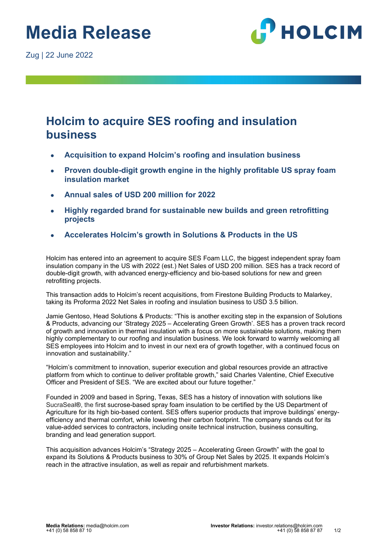

## **Holcim to acquire SES roofing and insulation business**

- **Acquisition to expand Holcim's roofing and insulation business**
- Proven double-digit growth engine in the highly profitable US spray foam **insulation market**
- **Annual sales of USD 200 million for 2022**
- **Highly regarded brand for sustainable new builds and green retrofitting projects**
- **Accelerates Holcim's growth in Solutions & Products in the US**

Holcim has entered into an agreement to acquire SES Foam LLC, the biggest independent spray foam insulation company in the US with 2022 (est.) Net Sales of USD 200 million. SES has a track record of double-digit growth, with advanced energy-efficiency and bio-based solutions for new and green retrofitting projects.

This transaction adds to Holcim's recent acquisitions, from Firestone Building Products to Malarkey, taking its Proforma 2022 Net Sales in roofing and insulation business to USD 3.5 billion.

Jamie Gentoso, Head Solutions & Products: "This is another exciting step in the expansion of Solutions & Products, advancing our 'Strategy 2025 – Accelerating Green Growth'. SES has a proven track record of growth and innovation in thermal insulation with a focus on more sustainable solutions, making them highly complementary to our roofing and insulation business. We look forward to warmly welcoming all SES employees into Holcim and to invest in our next era of growth together, with a continued focus on innovation and sustainability."

"Holcim's commitment to innovation, superior execution and global resources provide an attractive platform from which to continue to deliver profitable growth," said Charles Valentine, Chief Executive Officer and President of SES. "We are excited about our future together."

Founded in 2009 and based in Spring, Texas, SES has a history of innovation with solutions like SucraSeal**®**, the first sucrose-based spray foam insulation to be certified by the US Department of Agriculture for its high bio-based content. SES offers superior products that improve buildings' energyefficiency and thermal comfort, while lowering their carbon footprint. The company stands out for its value-added services to contractors, including onsite technical instruction, business consulting, branding and lead generation support.

This acquisition advances Holcim's "Strategy 2025 – Accelerating Green Growth" with the goal to expand its Solutions & Products business to 30% of Group Net Sales by 2025. It expands Holcim's reach in the attractive insulation, as well as repair and refurbishment markets.